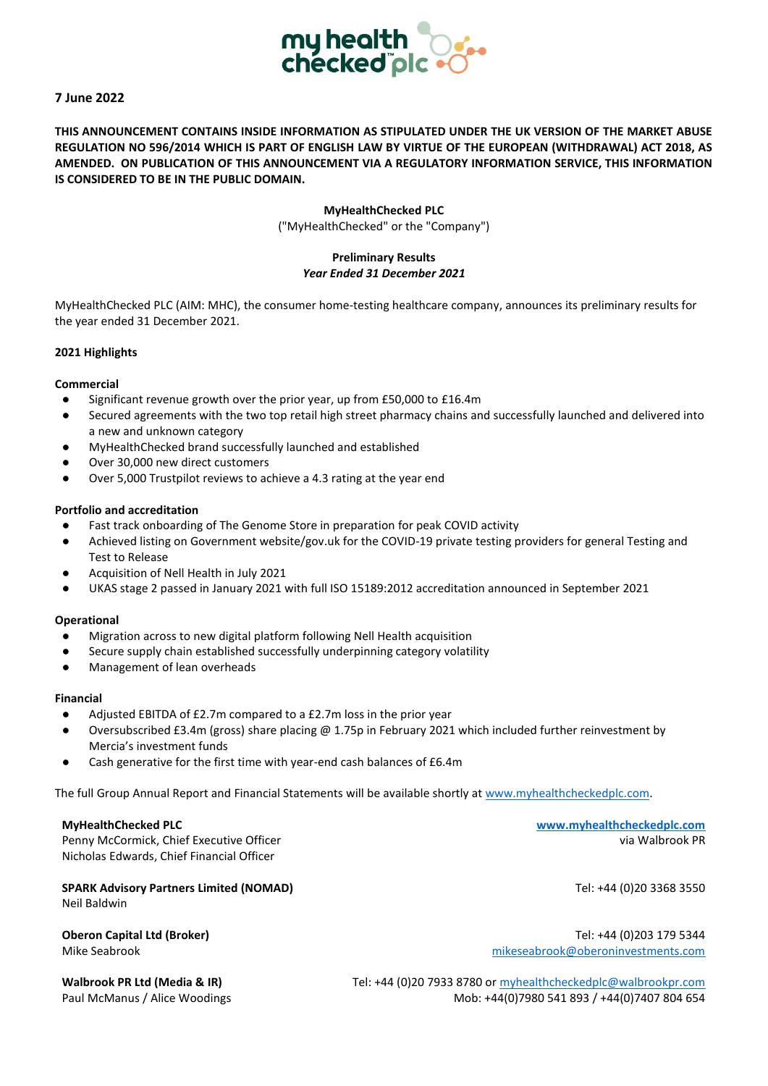

# **7 June 2022**

**THIS ANNOUNCEMENT CONTAINS INSIDE INFORMATION AS STIPULATED UNDER THE UK VERSION OF THE MARKET ABUSE REGULATION NO 596/2014 WHICH IS PART OF ENGLISH LAW BY VIRTUE OF THE EUROPEAN (WITHDRAWAL) ACT 2018, AS AMENDED. ON PUBLICATION OF THIS ANNOUNCEMENT VIA A REGULATORY INFORMATION SERVICE, THIS INFORMATION IS CONSIDERED TO BE IN THE PUBLIC DOMAIN.**

#### **MyHealthChecked PLC**

("MyHealthChecked" or the "Company")

### **Preliminary Results** *Year Ended 31 December 2021*

MyHealthChecked PLC (AIM: MHC), the consumer home-testing healthcare company, announces its preliminary results for the year ended 31 December 2021.

#### **2021 Highlights**

#### **Commercial**

- Significant revenue growth over the prior year, up from £50,000 to £16.4m
- Secured agreements with the two top retail high street pharmacy chains and successfully launched and delivered into a new and unknown category
- MyHealthChecked brand successfully launched and established
- Over 30,000 new direct customers
- Over 5,000 Trustpilot reviews to achieve a 4.3 rating at the year end

#### **Portfolio and accreditation**

- Fast track onboarding of The Genome Store in preparation for peak COVID activity
- Achieved listing on Government website/gov.uk for the COVID-19 private testing providers for general Testing and Test to Release
- Acquisition of Nell Health in July 2021
- UKAS stage 2 passed in January 2021 with full ISO 15189:2012 accreditation announced in September 2021

#### **Operational**

- Migration across to new digital platform following Nell Health acquisition
- Secure supply chain established successfully underpinning category volatility
- Management of lean overheads

#### **Financial**

- Adjusted EBITDA of £2.7m compared to a £2.7m loss in the prior year
- Oversubscribed £3.4m (gross) share placing @ 1.75p in February 2021 which included further reinvestment by Mercia's investment funds
- Cash generative for the first time with year-end cash balances of £6.4m

The full Group Annual Report and Financial Statements will be available shortly a[t www.myhealthcheckedplc.com.](http://www.myhealthcheckedplc.com/)

Penny McCormick, Chief Executive Officer via Walbrook PR (Via Walbrook PR) Nicholas Edwards, Chief Financial Officer

**SPARK Advisory Partners Limited (NOMAD) Tel: +44 (0)20 3368 3550** Neil Baldwin

**MyHealthChecked PLC [www.myhealthcheckedplc.com](http://www.myhealthcheckedplc.com/)**

**Oberon Capital Ltd (Broker)** Tel: +44 (0)203 179 5344 Mike Seabrook [mikeseabrook@oberoninvestments.com](mailto:mikeseabrook@oberoninvestments.com)

Walbrook PR Ltd (Media & IR) Tel: +44 (0)20 7933 8780 o[r myhealthcheckedplc@walbrookpr.com](mailto:myhealthcheckedplc@walbrookpr.com) Paul McManus / Alice Woodings Mob: +44(0)7980 541 893 / +44(0)7407 804 654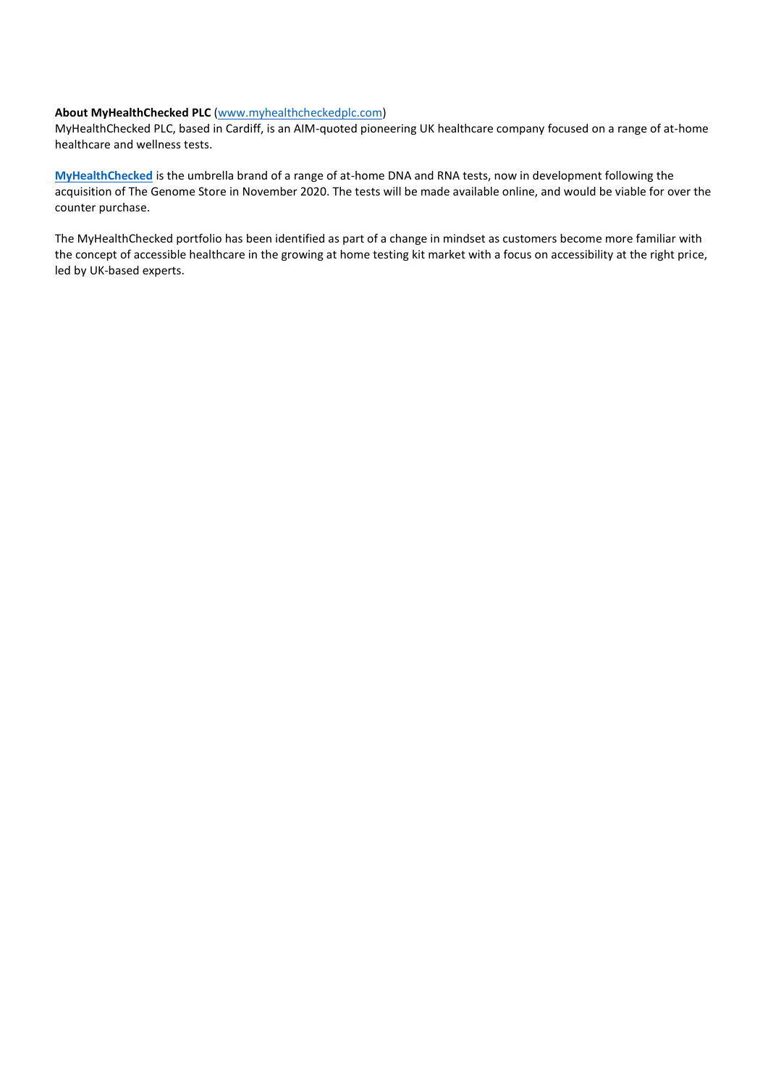#### **About MyHealthChecked PLC** [\(www.myhealthcheckedplc.com\)](http://www.myhealthcheckedplc.com/)

MyHealthChecked PLC, based in Cardiff, is an AIM-quoted pioneering UK healthcare company focused on a range of at-home healthcare and wellness tests.

**[MyHealthChecked](http://www.myhealthchecked.com/)** is the umbrella brand of a range of at-home DNA and RNA tests, now in development following the acquisition of The Genome Store in November 2020. The tests will be made available online, and would be viable for over the counter purchase.

The MyHealthChecked portfolio has been identified as part of a change in mindset as customers become more familiar with the concept of accessible healthcare in the growing at home testing kit market with a focus on accessibility at the right price, led by UK-based experts.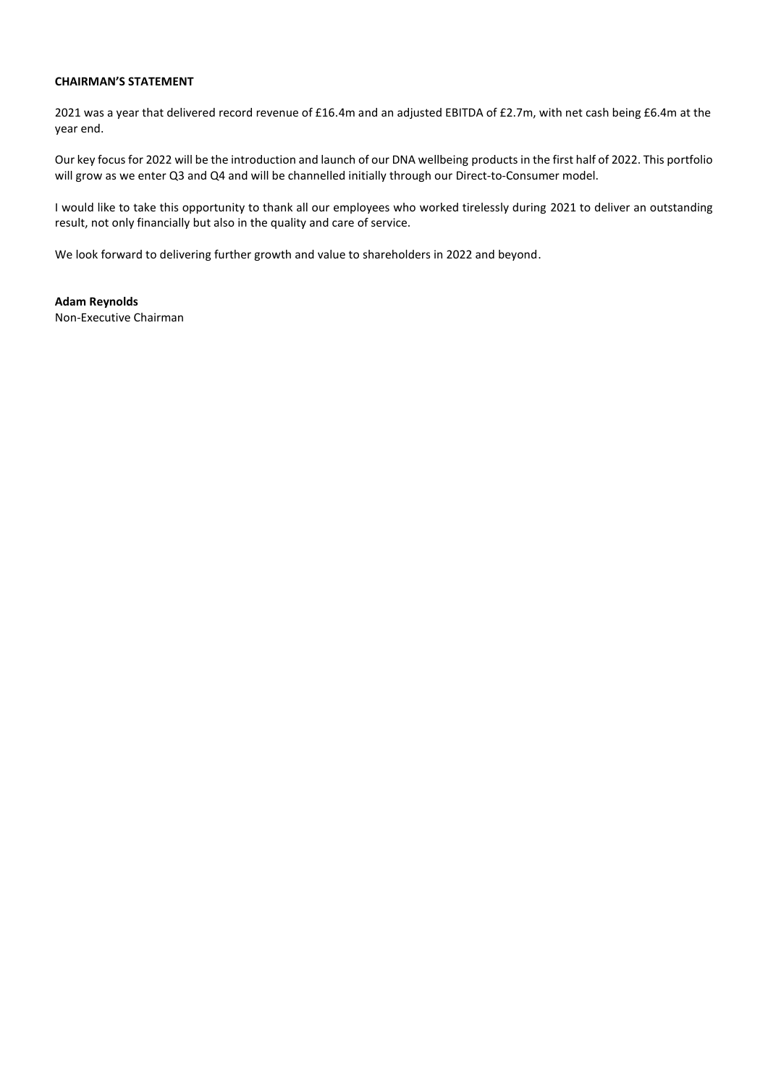### **CHAIRMAN'S STATEMENT**

2021 was a year that delivered record revenue of £16.4m and an adjusted EBITDA of £2.7m, with net cash being £6.4m at the year end.

Our key focus for 2022 will be the introduction and launch of our DNA wellbeing products in the first half of 2022. This portfolio will grow as we enter Q3 and Q4 and will be channelled initially through our Direct-to-Consumer model.

I would like to take this opportunity to thank all our employees who worked tirelessly during 2021 to deliver an outstanding result, not only financially but also in the quality and care of service.

We look forward to delivering further growth and value to shareholders in 2022 and beyond.

**Adam Reynolds**  Non-Executive Chairman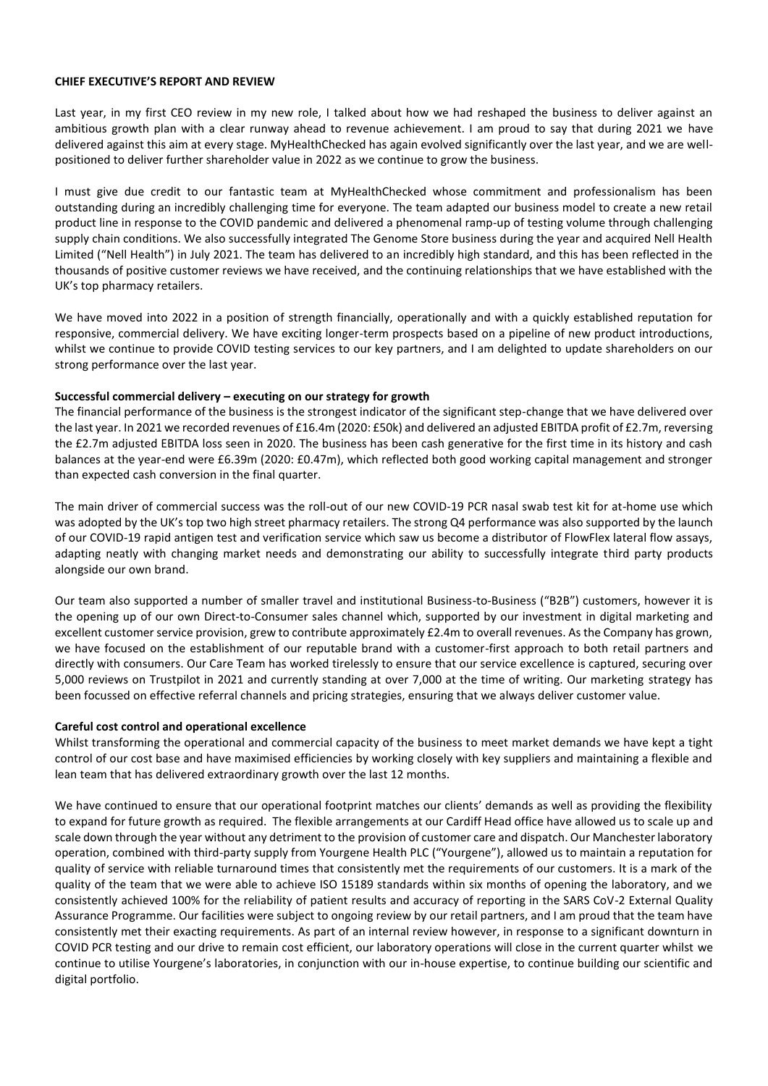#### **CHIEF EXECUTIVE'S REPORT AND REVIEW**

Last year, in my first CEO review in my new role, I talked about how we had reshaped the business to deliver against an ambitious growth plan with a clear runway ahead to revenue achievement. I am proud to say that during 2021 we have delivered against this aim at every stage. MyHealthChecked has again evolved significantly over the last year, and we are wellpositioned to deliver further shareholder value in 2022 as we continue to grow the business.

I must give due credit to our fantastic team at MyHealthChecked whose commitment and professionalism has been outstanding during an incredibly challenging time for everyone. The team adapted our business model to create a new retail product line in response to the COVID pandemic and delivered a phenomenal ramp-up of testing volume through challenging supply chain conditions. We also successfully integrated The Genome Store business during the year and acquired Nell Health Limited ("Nell Health") in July 2021. The team has delivered to an incredibly high standard, and this has been reflected in the thousands of positive customer reviews we have received, and the continuing relationships that we have established with the UK's top pharmacy retailers.

We have moved into 2022 in a position of strength financially, operationally and with a quickly established reputation for responsive, commercial delivery. We have exciting longer-term prospects based on a pipeline of new product introductions, whilst we continue to provide COVID testing services to our key partners, and I am delighted to update shareholders on our strong performance over the last year.

#### **Successful commercial delivery – executing on our strategy for growth**

The financial performance of the business is the strongest indicator of the significant step-change that we have delivered over the last year. In 2021 we recorded revenues of £16.4m (2020: £50k) and delivered an adjusted EBITDA profit of £2.7m, reversing the £2.7m adjusted EBITDA loss seen in 2020. The business has been cash generative for the first time in its history and cash balances at the year-end were £6.39m (2020: £0.47m), which reflected both good working capital management and stronger than expected cash conversion in the final quarter.

The main driver of commercial success was the roll-out of our new COVID-19 PCR nasal swab test kit for at-home use which was adopted by the UK's top two high street pharmacy retailers. The strong Q4 performance was also supported by the launch of our COVID-19 rapid antigen test and verification service which saw us become a distributor of FlowFlex lateral flow assays, adapting neatly with changing market needs and demonstrating our ability to successfully integrate third party products alongside our own brand.

Our team also supported a number of smaller travel and institutional Business-to-Business ("B2B") customers, however it is the opening up of our own Direct-to-Consumer sales channel which, supported by our investment in digital marketing and excellent customer service provision, grew to contribute approximately £2.4m to overall revenues. As the Company has grown, we have focused on the establishment of our reputable brand with a customer-first approach to both retail partners and directly with consumers. Our Care Team has worked tirelessly to ensure that our service excellence is captured, securing over 5,000 reviews on Trustpilot in 2021 and currently standing at over 7,000 at the time of writing. Our marketing strategy has been focussed on effective referral channels and pricing strategies, ensuring that we always deliver customer value.

#### **Careful cost control and operational excellence**

Whilst transforming the operational and commercial capacity of the business to meet market demands we have kept a tight control of our cost base and have maximised efficiencies by working closely with key suppliers and maintaining a flexible and lean team that has delivered extraordinary growth over the last 12 months.

We have continued to ensure that our operational footprint matches our clients' demands as well as providing the flexibility to expand for future growth as required. The flexible arrangements at our Cardiff Head office have allowed us to scale up and scale down through the year without any detriment to the provision of customer care and dispatch. Our Manchester laboratory operation, combined with third-party supply from Yourgene Health PLC ("Yourgene"), allowed us to maintain a reputation for quality of service with reliable turnaround times that consistently met the requirements of our customers. It is a mark of the quality of the team that we were able to achieve ISO 15189 standards within six months of opening the laboratory, and we consistently achieved 100% for the reliability of patient results and accuracy of reporting in the SARS CoV-2 External Quality Assurance Programme. Our facilities were subject to ongoing review by our retail partners, and I am proud that the team have consistently met their exacting requirements. As part of an internal review however, in response to a significant downturn in COVID PCR testing and our drive to remain cost efficient, our laboratory operations will close in the current quarter whilst we continue to utilise Yourgene's laboratories, in conjunction with our in-house expertise, to continue building our scientific and digital portfolio.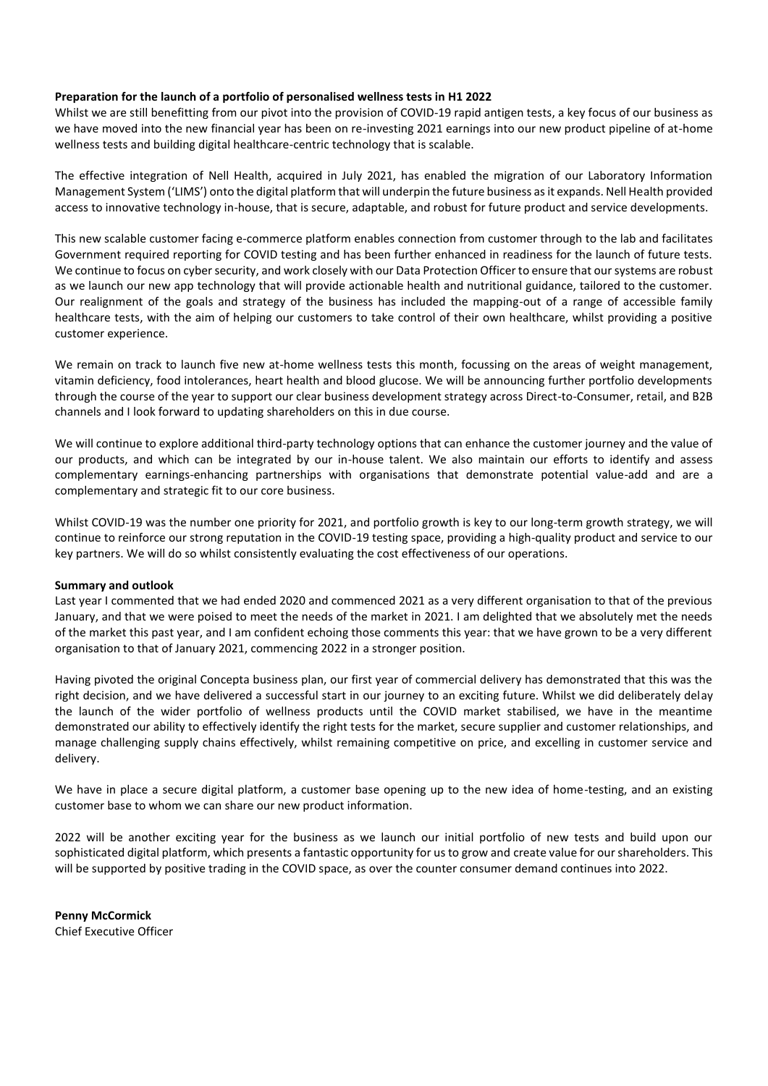#### **Preparation for the launch of a portfolio of personalised wellness tests in H1 2022**

Whilst we are still benefitting from our pivot into the provision of COVID-19 rapid antigen tests, a key focus of our business as we have moved into the new financial year has been on re-investing 2021 earnings into our new product pipeline of at-home wellness tests and building digital healthcare-centric technology that is scalable.

The effective integration of Nell Health, acquired in July 2021, has enabled the migration of our Laboratory Information Management System ('LIMS') onto the digital platform that will underpin the future business as it expands. Nell Health provided access to innovative technology in-house, that is secure, adaptable, and robust for future product and service developments.

This new scalable customer facing e-commerce platform enables connection from customer through to the lab and facilitates Government required reporting for COVID testing and has been further enhanced in readiness for the launch of future tests. We continue to focus on cyber security, and work closely with our Data Protection Officer to ensure that our systems are robust as we launch our new app technology that will provide actionable health and nutritional guidance, tailored to the customer. Our realignment of the goals and strategy of the business has included the mapping-out of a range of accessible family healthcare tests, with the aim of helping our customers to take control of their own healthcare, whilst providing a positive customer experience.

We remain on track to launch five new at-home wellness tests this month, focussing on the areas of weight management, vitamin deficiency, food intolerances, heart health and blood glucose. We will be announcing further portfolio developments through the course of the year to support our clear business development strategy across Direct-to-Consumer, retail, and B2B channels and I look forward to updating shareholders on this in due course.

We will continue to explore additional third-party technology options that can enhance the customer journey and the value of our products, and which can be integrated by our in-house talent. We also maintain our efforts to identify and assess complementary earnings-enhancing partnerships with organisations that demonstrate potential value-add and are a complementary and strategic fit to our core business.

Whilst COVID-19 was the number one priority for 2021, and portfolio growth is key to our long-term growth strategy, we will continue to reinforce our strong reputation in the COVID-19 testing space, providing a high-quality product and service to our key partners. We will do so whilst consistently evaluating the cost effectiveness of our operations.

#### **Summary and outlook**

Last year I commented that we had ended 2020 and commenced 2021 as a very different organisation to that of the previous January, and that we were poised to meet the needs of the market in 2021. I am delighted that we absolutely met the needs of the market this past year, and I am confident echoing those comments this year: that we have grown to be a very different organisation to that of January 2021, commencing 2022 in a stronger position.

Having pivoted the original Concepta business plan, our first year of commercial delivery has demonstrated that this was the right decision, and we have delivered a successful start in our journey to an exciting future. Whilst we did deliberately delay the launch of the wider portfolio of wellness products until the COVID market stabilised, we have in the meantime demonstrated our ability to effectively identify the right tests for the market, secure supplier and customer relationships, and manage challenging supply chains effectively, whilst remaining competitive on price, and excelling in customer service and delivery.

We have in place a secure digital platform, a customer base opening up to the new idea of home-testing, and an existing customer base to whom we can share our new product information.

2022 will be another exciting year for the business as we launch our initial portfolio of new tests and build upon our sophisticated digital platform, which presents a fantastic opportunity for us to grow and create value for our shareholders. This will be supported by positive trading in the COVID space, as over the counter consumer demand continues into 2022.

**Penny McCormick**  Chief Executive Officer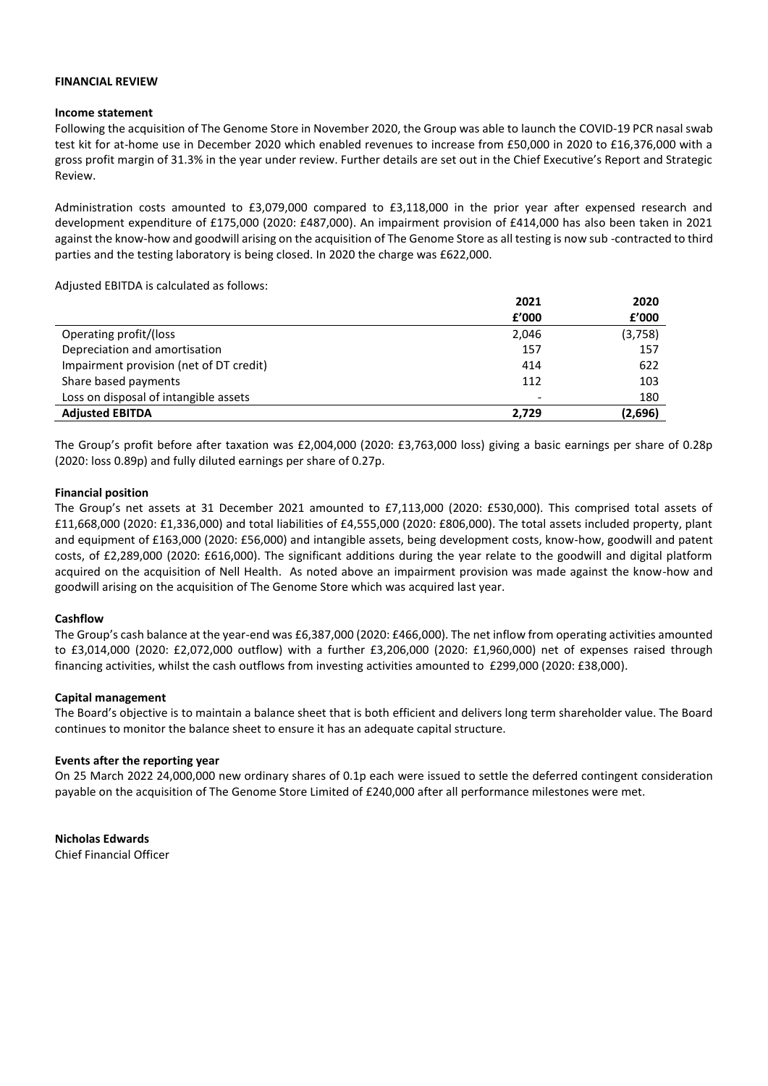#### **FINANCIAL REVIEW**

#### **Income statement**

Following the acquisition of The Genome Store in November 2020, the Group was able to launch the COVID-19 PCR nasal swab test kit for at-home use in December 2020 which enabled revenues to increase from £50,000 in 2020 to £16,376,000 with a gross profit margin of 31.3% in the year under review. Further details are set out in the Chief Executive's Report and Strategic Review.

Administration costs amounted to £3,079,000 compared to £3,118,000 in the prior year after expensed research and development expenditure of £175,000 (2020: £487,000). An impairment provision of £414,000 has also been taken in 2021 against the know-how and goodwill arising on the acquisition of The Genome Store as all testing is now sub -contracted to third parties and the testing laboratory is being closed. In 2020 the charge was £622,000.

Adjusted EBITDA is calculated as follows:

|                                         | 2021  | 2020    |
|-----------------------------------------|-------|---------|
|                                         | f'000 | f'000   |
| Operating profit/(loss                  | 2,046 | (3,758) |
| Depreciation and amortisation           | 157   | 157     |
| Impairment provision (net of DT credit) | 414   | 622     |
| Share based payments                    | 112   | 103     |
| Loss on disposal of intangible assets   |       | 180     |
| <b>Adjusted EBITDA</b>                  | 2,729 | (2,696) |

The Group's profit before after taxation was £2,004,000 (2020: £3,763,000 loss) giving a basic earnings per share of 0.28p (2020: loss 0.89p) and fully diluted earnings per share of 0.27p.

#### **Financial position**

The Group's net assets at 31 December 2021 amounted to £7,113,000 (2020: £530,000). This comprised total assets of £11,668,000 (2020: £1,336,000) and total liabilities of £4,555,000 (2020: £806,000). The total assets included property, plant and equipment of £163,000 (2020: £56,000) and intangible assets, being development costs, know-how, goodwill and patent costs, of £2,289,000 (2020: £616,000). The significant additions during the year relate to the goodwill and digital platform acquired on the acquisition of Nell Health. As noted above an impairment provision was made against the know-how and goodwill arising on the acquisition of The Genome Store which was acquired last year.

#### **Cashflow**

The Group's cash balance at the year-end was £6,387,000 (2020: £466,000). The net inflow from operating activities amounted to £3,014,000 (2020: £2,072,000 outflow) with a further £3,206,000 (2020: £1,960,000) net of expenses raised through financing activities, whilst the cash outflows from investing activities amounted to £299,000 (2020: £38,000).

#### **Capital management**

The Board's objective is to maintain a balance sheet that is both efficient and delivers long term shareholder value. The Board continues to monitor the balance sheet to ensure it has an adequate capital structure.

#### **Events after the reporting year**

On 25 March 2022 24,000,000 new ordinary shares of 0.1p each were issued to settle the deferred contingent consideration payable on the acquisition of The Genome Store Limited of £240,000 after all performance milestones were met.

**Nicholas Edwards** Chief Financial Officer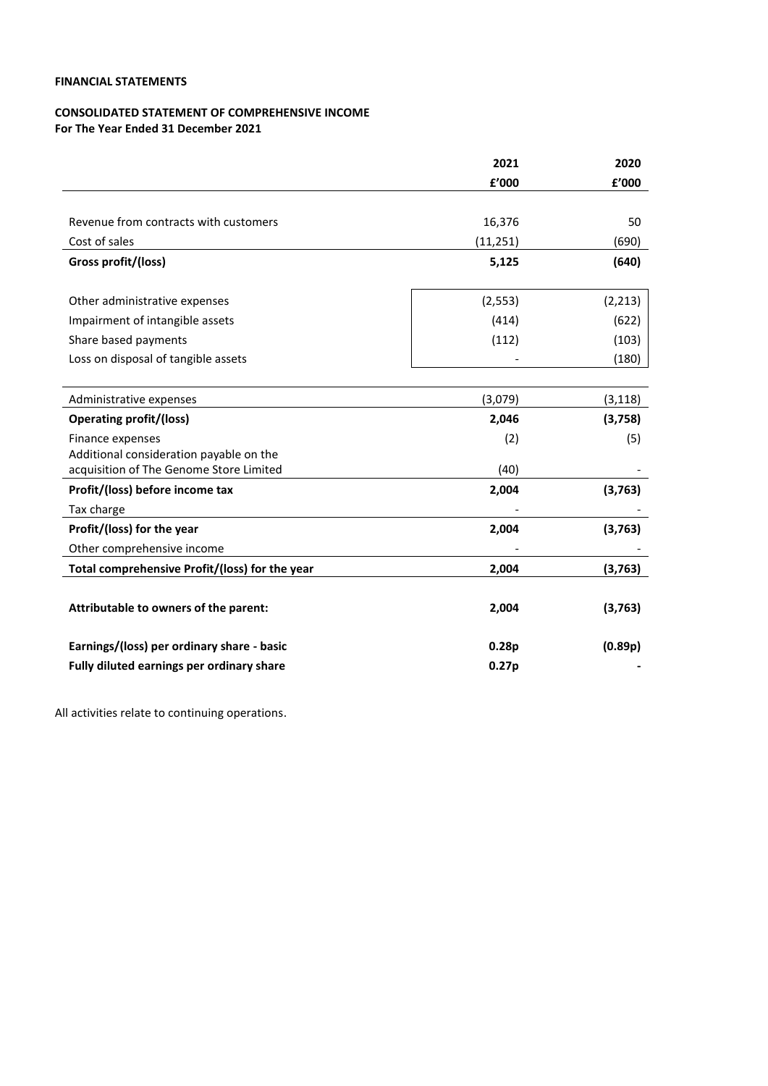# **FINANCIAL STATEMENTS**

### **CONSOLIDATED STATEMENT OF COMPREHENSIVE INCOME For The Year Ended 31 December 2021**

|                                                | 2021      | 2020     |
|------------------------------------------------|-----------|----------|
|                                                | £'000     | £'000    |
|                                                |           |          |
| Revenue from contracts with customers          | 16,376    | 50       |
| Cost of sales                                  | (11, 251) | (690)    |
| Gross profit/(loss)                            | 5,125     | (640)    |
|                                                |           |          |
| Other administrative expenses                  | (2, 553)  | (2, 213) |
| Impairment of intangible assets                | (414)     | (622)    |
| Share based payments                           | (112)     | (103)    |
| Loss on disposal of tangible assets            |           | (180)    |
|                                                |           |          |
| Administrative expenses                        | (3,079)   | (3, 118) |
| <b>Operating profit/(loss)</b>                 | 2,046     | (3,758)  |
| Finance expenses                               | (2)       | (5)      |
| Additional consideration payable on the        |           |          |
| acquisition of The Genome Store Limited        | (40)      |          |
| Profit/(loss) before income tax                | 2,004     | (3,763)  |
| Tax charge                                     |           |          |
| Profit/(loss) for the year                     | 2,004     | (3, 763) |
| Other comprehensive income                     |           |          |
| Total comprehensive Profit/(loss) for the year | 2,004     | (3,763)  |
|                                                |           |          |
| Attributable to owners of the parent:          | 2,004     | (3, 763) |
|                                                |           |          |
| Earnings/(loss) per ordinary share - basic     | 0.28p     | (0.89p)  |
| Fully diluted earnings per ordinary share      | 0.27p     |          |

All activities relate to continuing operations.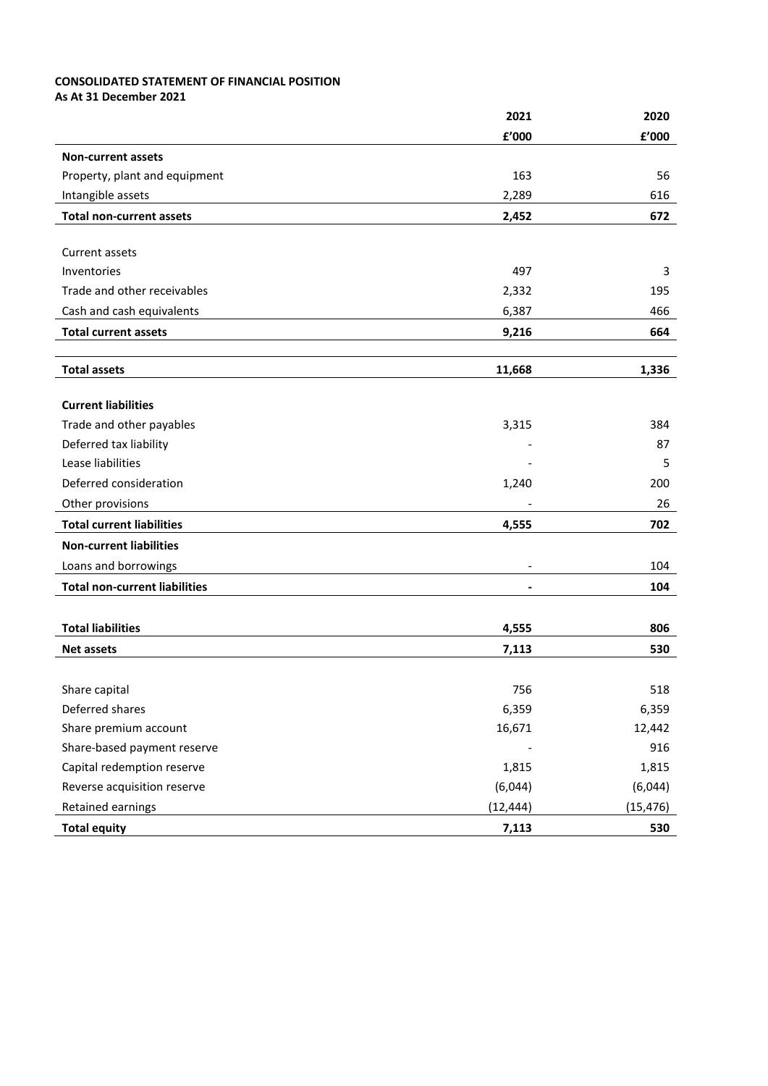# **CONSOLIDATED STATEMENT OF FINANCIAL POSITION**

**As At 31 December 2021**

| £'000<br>£'000<br><b>Non-current assets</b><br>Property, plant and equipment<br>163<br>56<br>Intangible assets<br>2,289<br>616<br><b>Total non-current assets</b><br>672<br>2,452<br>Current assets<br>Inventories<br>497<br>3<br>Trade and other receivables<br>195<br>2,332 |
|-------------------------------------------------------------------------------------------------------------------------------------------------------------------------------------------------------------------------------------------------------------------------------|
|                                                                                                                                                                                                                                                                               |
|                                                                                                                                                                                                                                                                               |
|                                                                                                                                                                                                                                                                               |
|                                                                                                                                                                                                                                                                               |
|                                                                                                                                                                                                                                                                               |
|                                                                                                                                                                                                                                                                               |
|                                                                                                                                                                                                                                                                               |
|                                                                                                                                                                                                                                                                               |
|                                                                                                                                                                                                                                                                               |
| Cash and cash equivalents<br>6,387<br>466                                                                                                                                                                                                                                     |
| <b>Total current assets</b><br>9,216<br>664                                                                                                                                                                                                                                   |
|                                                                                                                                                                                                                                                                               |
| <b>Total assets</b><br>11,668<br>1,336                                                                                                                                                                                                                                        |
|                                                                                                                                                                                                                                                                               |
| <b>Current liabilities</b>                                                                                                                                                                                                                                                    |
| Trade and other payables<br>3,315<br>384                                                                                                                                                                                                                                      |
| Deferred tax liability<br>87                                                                                                                                                                                                                                                  |
| Lease liabilities<br>5                                                                                                                                                                                                                                                        |
| Deferred consideration<br>200<br>1,240                                                                                                                                                                                                                                        |
| Other provisions<br>26                                                                                                                                                                                                                                                        |
| <b>Total current liabilities</b><br>4,555<br>702                                                                                                                                                                                                                              |
| <b>Non-current liabilities</b>                                                                                                                                                                                                                                                |
| Loans and borrowings<br>104                                                                                                                                                                                                                                                   |
| <b>Total non-current liabilities</b><br>104<br>$\blacksquare$                                                                                                                                                                                                                 |
|                                                                                                                                                                                                                                                                               |
| <b>Total liabilities</b><br>4,555<br>806                                                                                                                                                                                                                                      |
| 530<br>7,113<br><b>Net assets</b>                                                                                                                                                                                                                                             |
|                                                                                                                                                                                                                                                                               |
| 756<br>518<br>Share capital                                                                                                                                                                                                                                                   |
| Deferred shares<br>6,359<br>6,359                                                                                                                                                                                                                                             |
| Share premium account<br>16,671<br>12,442                                                                                                                                                                                                                                     |
| Share-based payment reserve<br>916                                                                                                                                                                                                                                            |
| Capital redemption reserve<br>1,815<br>1,815                                                                                                                                                                                                                                  |
| Reverse acquisition reserve<br>(6,044)<br>(6,044)                                                                                                                                                                                                                             |
| (12, 444)<br>Retained earnings<br>(15, 476)                                                                                                                                                                                                                                   |
| <b>Total equity</b><br>7,113<br>530                                                                                                                                                                                                                                           |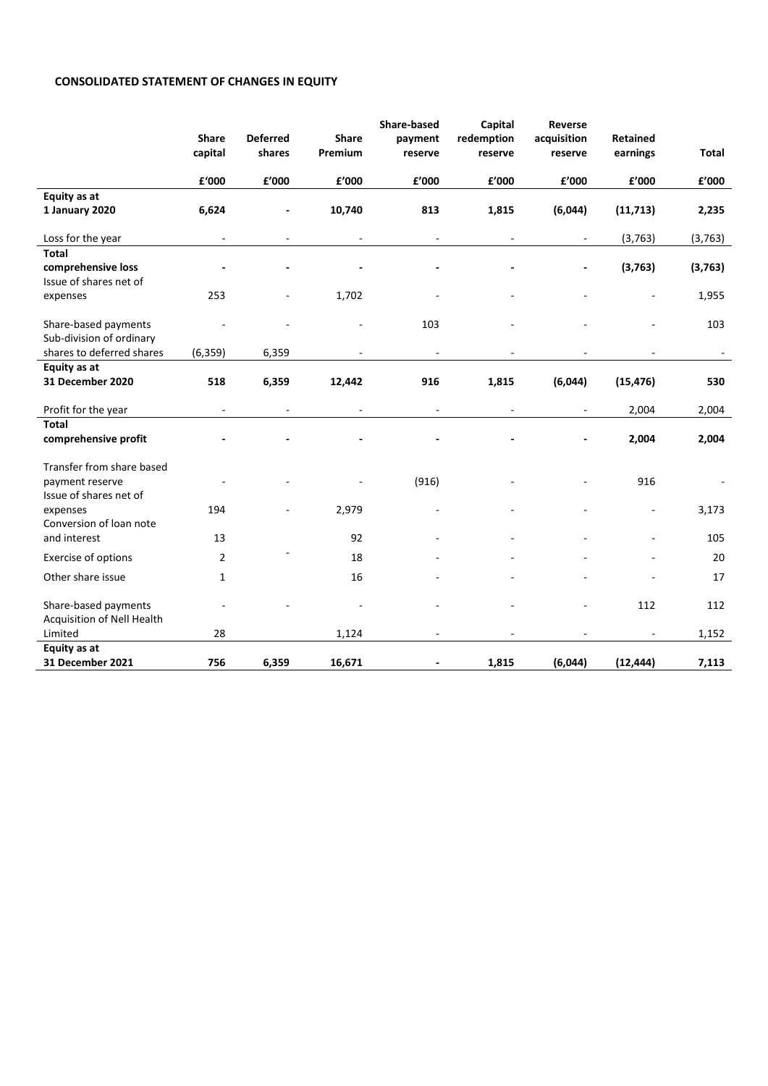# **CONSOLIDATED STATEMENT OF CHANGES IN EQUITY**

|                            |                          |                           |                          | Share-based              | Capital                  | Reverse                  |                             |                        |
|----------------------------|--------------------------|---------------------------|--------------------------|--------------------------|--------------------------|--------------------------|-----------------------------|------------------------|
|                            | <b>Share</b><br>capital  | <b>Deferred</b><br>shares | <b>Share</b><br>Premium  | payment<br>reserve       | redemption<br>reserve    | acquisition<br>reserve   | <b>Retained</b><br>earnings | Total                  |
|                            |                          |                           |                          |                          |                          |                          |                             |                        |
|                            | £'000                    | ${\bf f}^{\prime}$ 000    | £'000                    | £'000                    | £'000                    | £'000                    | £'000                       | ${\bf f}^{\prime}$ 000 |
| Equity as at               |                          |                           |                          |                          |                          |                          |                             |                        |
| 1 January 2020             | 6,624                    |                           | 10,740                   | 813                      | 1,815                    | (6,044)                  | (11, 713)                   | 2,235                  |
| Loss for the year          | $\blacksquare$           | $\overline{\phantom{a}}$  | $\overline{\phantom{a}}$ | $\blacksquare$           | $\blacksquare$           | $\blacksquare$           | (3, 763)                    | (3, 763)               |
| <b>Total</b>               |                          |                           |                          |                          |                          |                          |                             |                        |
| comprehensive loss         |                          |                           |                          |                          |                          | $\overline{\phantom{a}}$ | (3, 763)                    | (3, 763)               |
| Issue of shares net of     |                          |                           |                          |                          |                          |                          |                             |                        |
| expenses                   | 253                      |                           | 1,702                    |                          |                          |                          |                             | 1,955                  |
| Share-based payments       |                          |                           |                          | 103                      |                          |                          |                             | 103                    |
| Sub-division of ordinary   |                          |                           |                          |                          |                          |                          |                             |                        |
| shares to deferred shares  | (6, 359)                 | 6,359                     |                          |                          |                          |                          |                             |                        |
| Equity as at               |                          |                           |                          |                          |                          |                          |                             |                        |
| 31 December 2020           | 518                      | 6,359                     | 12,442                   | 916                      | 1,815                    | (6,044)                  | (15, 476)                   | 530                    |
| Profit for the year        | $\overline{\phantom{a}}$ | $\overline{\phantom{a}}$  | $\blacksquare$           | $\overline{\phantom{a}}$ | $\overline{\phantom{a}}$ | $\blacksquare$           | 2,004                       | 2,004                  |
| <b>Total</b>               |                          |                           |                          |                          |                          |                          |                             |                        |
| comprehensive profit       |                          |                           |                          |                          |                          |                          | 2,004                       | 2,004                  |
| Transfer from share based  |                          |                           |                          |                          |                          |                          |                             |                        |
| payment reserve            |                          |                           |                          | (916)                    |                          |                          | 916                         |                        |
| Issue of shares net of     |                          |                           |                          |                          |                          |                          |                             |                        |
| expenses                   | 194                      |                           | 2,979                    |                          |                          |                          |                             | 3,173                  |
| Conversion of loan note    |                          |                           |                          |                          |                          |                          |                             |                        |
| and interest               | 13                       |                           | 92                       |                          |                          |                          | L,                          | 105                    |
| Exercise of options        | $\overline{2}$           |                           | 18                       |                          |                          |                          |                             | 20                     |
| Other share issue          | 1                        |                           | 16                       |                          |                          |                          |                             | 17                     |
| Share-based payments       |                          |                           |                          |                          |                          |                          | 112                         | 112                    |
| Acquisition of Nell Health |                          |                           |                          |                          |                          |                          |                             |                        |
| Limited                    | 28                       |                           | 1,124                    |                          |                          |                          |                             | 1,152                  |
| Equity as at               |                          |                           |                          |                          |                          |                          |                             |                        |
| 31 December 2021           | 756                      | 6,359                     | 16,671                   |                          | 1,815                    | (6,044)                  | (12, 444)                   | 7,113                  |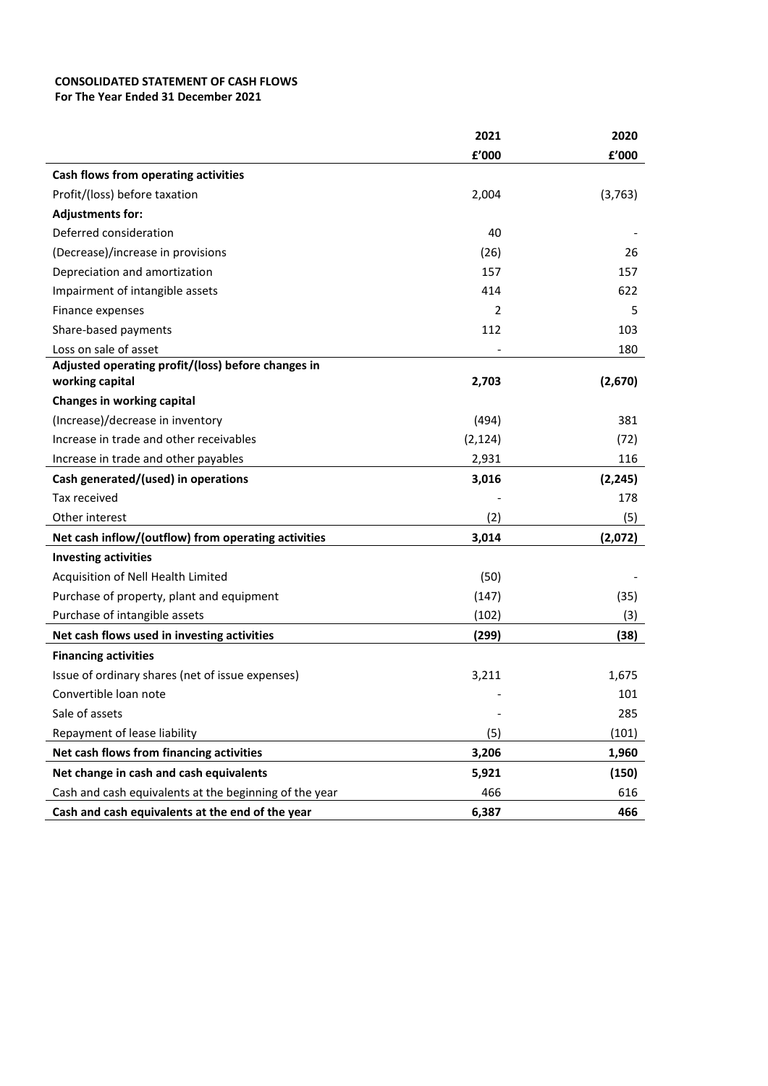# **CONSOLIDATED STATEMENT OF CASH FLOWS**

**For The Year Ended 31 December 2021**

|                                                        | 2021     | 2020     |
|--------------------------------------------------------|----------|----------|
|                                                        | £'000    | £'000    |
| Cash flows from operating activities                   |          |          |
| Profit/(loss) before taxation                          | 2,004    | (3, 763) |
| <b>Adjustments for:</b>                                |          |          |
| Deferred consideration                                 | 40       |          |
| (Decrease)/increase in provisions                      | (26)     | 26       |
| Depreciation and amortization                          | 157      | 157      |
| Impairment of intangible assets                        | 414      | 622      |
| Finance expenses                                       | 2        | 5        |
| Share-based payments                                   | 112      | 103      |
| Loss on sale of asset                                  |          | 180      |
| Adjusted operating profit/(loss) before changes in     |          |          |
| working capital                                        | 2,703    | (2,670)  |
| Changes in working capital                             |          |          |
| (Increase)/decrease in inventory                       | (494)    | 381      |
| Increase in trade and other receivables                | (2, 124) | (72)     |
| Increase in trade and other payables                   | 2,931    | 116      |
| Cash generated/(used) in operations                    | 3,016    | (2, 245) |
| Tax received                                           |          | 178      |
| Other interest                                         | (2)      | (5)      |
| Net cash inflow/(outflow) from operating activities    | 3,014    | (2,072)  |
| <b>Investing activities</b>                            |          |          |
| Acquisition of Nell Health Limited                     | (50)     |          |
| Purchase of property, plant and equipment              | (147)    | (35)     |
| Purchase of intangible assets                          | (102)    | (3)      |
| Net cash flows used in investing activities            | (299)    | (38)     |
| <b>Financing activities</b>                            |          |          |
| Issue of ordinary shares (net of issue expenses)       | 3,211    | 1,675    |
| Convertible loan note                                  |          | 101      |
| Sale of assets                                         |          | 285      |
| Repayment of lease liability                           | (5)      | (101)    |
| Net cash flows from financing activities               | 3,206    | 1,960    |
| Net change in cash and cash equivalents                | 5,921    | (150)    |
| Cash and cash equivalents at the beginning of the year | 466      | 616      |
| Cash and cash equivalents at the end of the year       | 6,387    | 466      |